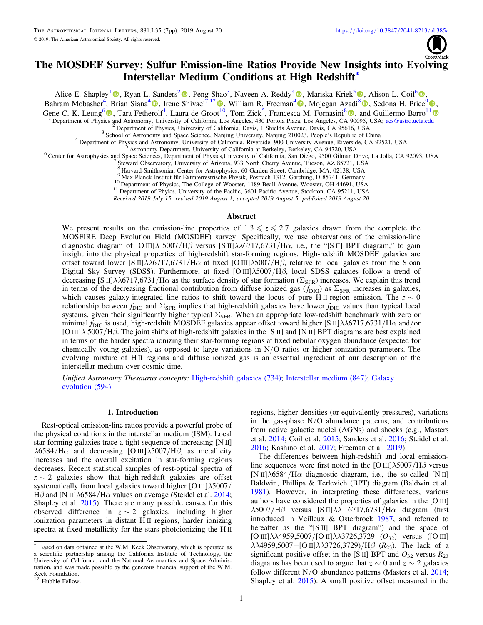

# The MOSDEF Survey: Sulfur Emission-line Ratios Provide New Insights into Evolving Interstellar Medium Conditions at High Redshift<sup>∗</sup>

Alice E. Shapley<sup>[1](https://orcid.org/0000-0003-3509-4855)</sup> <sup>®</sup>[,](https://orcid.org/0000-0002-2583-5894) Ryan L. Sanders<sup>[2](https://orcid.org/0000-0003-4792-9119)</sup> <sup>®</sup>, Peng Shao<sup>3</sup>, Naveen A. Reddy<sup>[4](https://orcid.org/0000-0001-9687-4973)</sup> <sup>®</sup>, Mariska Kriek<sup>5</sup> ®, Alison L. Coil<sup>[6](https://orcid.org/0000-0002-2583-5894)</sup> ®,

Bahram Mobasher<sup>[4](https://orcid.org/0000-0003-3559-5270)</sup>, Brian Siana<sup>4</sup> , Irene Shivaei<sup>7,1[2](https://orcid.org/0000-0003-4702-7561)</sup> [,](https://orcid.org/0000-0002-0108-4176) William R. Freeman<sup>4</sup> , Mojegan Azadi<sup>[8](https://orcid.org/0000-0001-6004-9728)</sup> , Sedona H. Price<sup>9</sup> ,

Gene C. K. Leung<sup>[6](https://orcid.org/0000-0002-9393-6507)</sup><sup>®</sup>, Tara Fetherolf<sup>4</sup>, Laura de Groot<sup>[10](https://orcid.org/0000-0003-4702-7561)</sup>, Tom Zick<sup>5</sup>, Francesca M. Fornasini<sup>[8](https://orcid.org/0000-0002-9286-9963)</sup><sup>®</sup>[,](https://orcid.org/0000-0002-9286-9963) and Guillermo Barro<sup>[1](https://orcid.org/0000-0001-6813-875X)1</sup>

Department of Physics and Astronomy, University of California, Los Angeles, 430 Portocolar Physics, CA 96095, USA; [aes@astro.ucla.edu](mailto:aes@astro.ucla.edu)<br>
<sup>2</sup> Department of Physics, University of California, Davis, 1 Shields Avenue, Davis, CA

Steward Observatory, University of Arizona, 933 North Cherry Avenue, Tucson, AZ 85721, USA 8 Harvard-Smithsonian Center for Astrophysics, 60 Garden Street, Cambridge, MA, 02138, USA 9 Max-Planck-Institut für Extraterrestri

<sup>10</sup> Department of Physics, The College of Wooster, 1189 Beall Avenue, Wooster, OH 44691, USA<br><sup>11</sup> Department of Phyics, University of the Pacific, 3601 Pacific Avenue, Stockton, CA 95211, USA

Received 2019 July 15; revised 2019 August 1; accepted 2019 August 5; published 2019 August 20

### Abstract

We present results on the emission-line properties of  $1.3 \le z \le 2.7$  galaxies drawn from the complete the MOSFIRE Deep Evolution Field (MOSDEF) survey. Specifically, we use observations of the emission-line diagnostic diagram of [O III] $\lambda$  5007/H $\beta$  versus [S II] $\lambda\lambda$ 6717,6731/H $\alpha$ , i.e., the "[S II] BPT diagram," to gain insight into the physical properties of high-redshift star-forming regions. High-redshift MOSDEF galaxies are offset toward lower [S II] $\lambda\lambda$ 6717,6731/H $\alpha$  at fixed [O III] $\lambda$ 5007/H $\beta$ , relative to local galaxies from the Sloan Digital Sky Survey (SDSS). Furthermore, at fixed [O III]λ5007/Hβ, local SDSS galaxies follow a trend of decreasing [S II] $\lambda\lambda$ 6717,6731/H $\alpha$  as the surface density of star formation ( $\Sigma_{\rm SFR}$ ) increases. We explain this trend in terms of the decreasing fractional contribution from diffuse ionized gas ( $f_{\text{DIG}}$ ) as  $\Sigma_{\text{SFR}}$  increases in galaxies, which causes galaxy-integrated line ratios to shift toward the locus of pure H<sub>II</sub>-region emission. The  $z \sim 0$ relationship between  $f_{\text{DIG}}$  and  $\Sigma_{\text{SFR}}$  implies that high-redshift galaxies have lower  $f_{\text{DIG}}$  values than typical local systems, given their significantly higher typical  $\Sigma_{\rm SFR}$ . When an appropriate low-redshift benchmark with zero or minimal  $f_{\text{DIG}}$  is used, high-redshift MOSDEF galaxies appear offset toward higher [S II] $\lambda\lambda$ 6717,6731/H $\alpha$  and/or [O III]λ 5007/Hβ. The joint shifts of high-redshift galaxies in the [S II] and [N II] BPT diagrams are best explained in terms of the harder spectra ionizing their star-forming regions at fixed nebular oxygen abundance (expected for chemically young galaxies), as opposed to large variations in  $N/O$  ratios or higher ionization parameters. The evolving mixture of H II regions and diffuse ionized gas is an essential ingredient of our description of the interstellar medium over cosmic time.

Unified Astronomy Thesaurus concepts: [High-redshift galaxies](http://astrothesaurus.org/uat/734) (734); [Interstellar medium](http://astrothesaurus.org/uat/847) (847); [Galaxy](http://astrothesaurus.org/uat/594) [evolution](http://astrothesaurus.org/uat/594) (594)

### 1. Introduction

Rest-optical emission-line ratios provide a powerful probe of the physical conditions in the interstellar medium (ISM). Local star-forming galaxies trace a tight sequence of increasing [N II]  $\lambda$ 6584/H $\alpha$  and decreasing [O III] $\lambda$ 5007/H $\beta$ , as metallicity increases and the overall excitation in star-forming regions decreases. Recent statistical samples of rest-optical spectra of  $z \sim 2$  galaxies show that high-redshift galaxies are offset systematically from local galaxies toward higher [O III]λ5007/ Hβ and [N II] $\lambda$ 6584/Hα values on average (Steidel et al. [2014](#page-6-0); Shapley et al. [2015](#page-6-0)). There are many possible causes for this observed difference in  $z \sim 2$  galaxies, including higher ionization parameters in distant H II regions, harder ionizing spectra at fixed metallicity for the stars photoionizing the H II

regions, higher densities (or equivalently pressures), variations in the gas-phase  $N/O$  abundance patterns, and contributions from active galactic nuclei (AGNs) and shocks (e.g., Masters et al. [2014;](#page-5-0) Coil et al. [2015;](#page-5-0) Sanders et al. [2016;](#page-6-0) Steidel et al. [2016;](#page-6-0) Kashino et al. [2017](#page-5-0); Freeman et al. [2019](#page-5-0)).

The differences between high-redshift and local emissionline sequences were first noted in the [O III] $\lambda$ 5007/H $\beta$  versus [N II] $\lambda$ 6584/H $\alpha$  diagnostic diagram, i.e., the so-called [N II] Baldwin, Phillips & Terlevich (BPT) diagram (Baldwin et al. [1981](#page-5-0)). However, in interpreting these differences, various authors have considered the properties of galaxies in the [O III]  $\lambda$ 5007/H $\beta$  versus [S II] $\lambda\lambda$  6717,6731/H $\alpha$  diagram (first introduced in Veilleux & Osterbrock [1987](#page-6-0), and referred to hereafter as the "[S II] BPT diagram") and the space of [O III] $\lambda\lambda$ 4959,5007/[O II] $\lambda\lambda$ 3726,3729 (O<sub>32</sub>) versus ([O III]  $\lambda\lambda$ 4959,5007+[O II] $\lambda\lambda$ 3726,3729)/H $\beta$  ( $R_{23}$ ). The lack of a significant positive offset in the [S II] BPT and  $O_{32}$  versus  $R_{23}$ diagrams has been used to argue that  $z \sim 0$  and  $z \sim 2$  galaxies follow different  $N/O$  abundance patterns (Masters et al. [2014](#page-5-0); Shapley et al. [2015](#page-6-0)). A small positive offset measured in the

Based on data obtained at the W.M. Keck Observatory, which is operated as a scientific partnership among the California Institute of Technology, the University of California, and the National Aeronautics and Space Administration, and was made possible by the generous financial support of the W.M. Keck Foundation. <sup>12</sup> Hubble Fellow.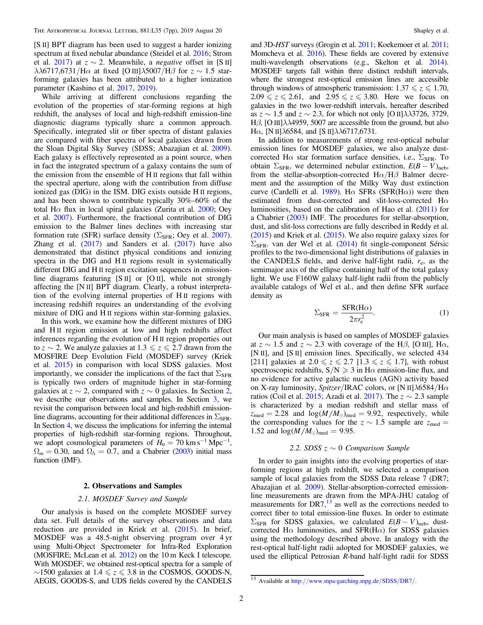<span id="page-1-0"></span>[S II] BPT diagram has been used to suggest a harder ionizing spectrum at fixed nebular abundance (Steidel et al. [2016;](#page-6-0) Strom et al. [2017](#page-6-0)) at  $z \sim 2$ . Meanwhile, a *negative* offset in [S II] λλ6717,6731/Hα at fixed [O III]λ5007/H $\beta$  for  $z \sim 1.5$  starforming galaxies has been attributed to a higher ionization parameter (Kashino et al. [2017](#page-5-0), [2019](#page-5-0)).

While arriving at different conclusions regarding the evolution of the properties of star-forming regions at high redshift, the analyses of local and high-redshift emission-line diagnostic diagrams typically share a common approach. Specifically, integrated slit or fiber spectra of distant galaxies are compared with fiber spectra of local galaxies drawn from the Sloan Digital Sky Survey (SDSS; Abazajian et al. [2009](#page-5-0)). Each galaxy is effectively represented as a point source, when in fact the integrated spectrum of a galaxy contains the sum of the emission from the ensemble of H II regions that fall within the spectral aperture, along with the contribution from diffuse ionized gas (DIG) in the ISM. DIG exists outside H II regions, and has been shown to contribute typically 30%–60% of the total H $\alpha$  flux in local spiral galaxies (Zurita et al. [2000](#page-6-0); Oey et al. [2007](#page-5-0)). Furthermore, the fractional contribution of DIG emission to the Balmer lines declines with increasing star formation rate (SFR) surface density ( $\Sigma_{\text{SFR}}$ ; Oey et al. [2007](#page-5-0)). Zhang et al.  $(2017)$  $(2017)$  $(2017)$  and Sanders et al.  $(2017)$  have also demonstrated that distinct physical conditions and ionizing spectra in the DIG and H<sub>II</sub> regions result in systematically different DIG and H II region excitation sequences in emissionline diagrams featuring [S II] or [O II], while not strongly affecting the [N II] BPT diagram. Clearly, a robust interpretation of the evolving internal properties of H II regions with increasing redshift requires an understanding of the evolving mixture of DIG and H II regions within star-forming galaxies.

In this work, we examine how the different mixtures of DIG and H<sub>II</sub> region emission at low and high redshifts affect inferences regarding the evolution of H II region properties out to z  $\sim$  2. We analyze galaxies at 1.3  $\leq z \leq 2.7$  drawn from the MOSFIRE Deep Evolution Field (MOSDEF) survey (Kriek et al. [2015](#page-5-0)) in comparison with local SDSS galaxies. Most importantly, we consider the implications of the fact that  $\Sigma_{\rm SFR}$ is typically two orders of magnitude higher in star-forming galaxies at  $z \sim 2$ , compared with  $z \sim 0$  galaxies. In Section 2, we describe our observations and samples. In Section [3](#page-3-0), we revisit the comparison between local and high-redshift emissionline diagrams, accounting for their additional differences in  $\Sigma_{\rm SFR}$ . In Section [4](#page-4-0), we discuss the implications for inferring the internal properties of high-redshift star-forming regions. Throughout, we adopt cosmological parameters of  $H_0 = 70 \text{ km s}^{-1} \text{ Mpc}^{-1}$ ,  $\Omega_m = 0.30$ , and  $\Omega_{\Lambda} = 0.7$ , and a Chabrier ([2003](#page-5-0)) initial mass function (IMF).

### 2. Observations and Samples

### 2.1. MOSDEF Survey and Sample

Our analysis is based on the complete MOSDEF survey data set. Full details of the survey observations and data reduction are provided in Kriek et al. ([2015](#page-5-0)). In brief, MOSDEF was a 48.5-night observing program over 4 yr using Multi-Object Spectrometer for Infra-Red Exploration (MOSFIRE; McLean et al. [2012](#page-5-0)) on the 10 m Keck I telescope. With MOSDEF, we obtained rest-optical spectra for a sample of  $\sim$ 1500 galaxies at 1.4  $\le z \le 3.8$  in the COSMOS, GOODS-N, AEGIS, GOODS-S, and UDS fields covered by the CANDELS

and 3D-HST surveys (Grogin et al. [2011;](#page-5-0) Koekemoer et al. [2011](#page-5-0); Momcheva et al. [2016](#page-5-0)). These fields are covered by extensive multi-wavelength observations (e.g., Skelton et al. [2014](#page-6-0)). MOSDEF targets fall within three distinct redshift intervals, where the strongest rest-optical emission lines are accessible through windows of atmospheric transmission:  $1.37 \le z \le 1.70$ ,  $2.09 \le z \le 2.61$ , and  $2.95 \le z \le 3.80$ . Here we focus on galaxies in the two lower-redshift intervals, hereafter described as  $z \sim 1.5$  and  $z \sim 2.3$ , for which not only [O II] $\lambda \lambda$ 3726, 3729, Hβ, [O III] $\lambda\lambda$ 4959, 5007 are accessible from the ground, but also H $\alpha$ , [N II] $\lambda$ 6584, and [S II] $\lambda$  $\lambda$ 6717,6731.

In addition to measurements of strong rest-optical nebular emission lines for MOSDEF galaxies, we also analyze dustcorrected H $\alpha$  star formation surface densities, i.e.,  $\Sigma_{\rm SFR}$ . To obtain  $\Sigma_{\rm SFR}$ , we determined nebular extinction,  $E(B-V)_{\rm neb}$ , from the stellar-absorption-corrected  $H\alpha/H\beta$  Balmer decrement and the assumption of the Milky Way dust extinction curve (Cardelli et al. [1989](#page-5-0)). H $\alpha$  SFRs (SFR(H $\alpha$ )) were then estimated from dust-corrected and slit-loss-corrected H $\alpha$ luminosities, based on the calibration of Hao et al. ([2011](#page-5-0)) for a Chabrier ([2003](#page-5-0)) IMF. The procedures for stellar-absorption, dust, and slit-loss corrections are fully described in Reddy et al. ([2015](#page-6-0)) and Kriek et al. ([2015](#page-5-0)). We also require galaxy sizes for  $\Sigma_{\rm SFR}$ . van der Wel et al. ([2014](#page-6-0)) fit single-component Sérsic profiles to the two-dimensional light distributions of galaxies in the CANDELS fields, and derive half-light radii,  $r_{e}$ , as the semimajor axis of the ellipse containing half of the total galaxy light. We use F160W galaxy half-light radii from the publicly available catalogs of Wel et al., and then define SFR surface density as

$$
\Sigma_{\rm SFR} = \frac{\rm SFR(H\alpha)}{2\pi r_{\rm e}^2}.
$$
 (1)

Our main analysis is based on samples of MOSDEF galaxies at  $z \sim 1.5$  and  $z \sim 2.3$  with coverage of the H $\beta$ , [O III], H $\alpha$ , [N II], and [S II] emission lines. Specifically, we selected 434 [211] galaxies at  $2.0 \le z \le 2.7$  [1.3  $\le z \le 1.7$ ], with robust spectroscopic redshifts,  $S/N \ge 3$  in H $\alpha$  emission-line flux, and no evidence for active galactic nucleus (AGN) activity based on X-ray luminosity, Spitzer/IRAC colors, or [N II] $\lambda$ 6584/H $\alpha$ ratios (Coil et al. [2015;](#page-5-0) Azadi et al. [2017](#page-5-0)). The  $z \sim 2.3$  sample is characterized by a median redshift and stellar mass of  $z_{\text{med}} = 2.28$  and  $\log(M/M_{\odot})_{\text{med}} = 9.92$ , respectively, while the corresponding values for the  $z \sim 1.5$  sample are  $z_{\text{med}} =$ 1.52 and  $log(M/M_{\odot})_{\text{med}} = 9.95$ .

### 2.2. SDSS  $z \sim 0$  Comparison Sample

In order to gain insights into the evolving properties of starforming regions at high redshift, we selected a comparison sample of local galaxies from the SDSS Data release 7 (DR7; Abazajian et al. [2009](#page-5-0)). Stellar-absorption-corrected emissionline measurements are drawn from the MPA-JHU catalog of measurements for  $DR7$ ,<sup>13</sup> as well as the corrections needed to correct fiber to total emission-line fluxes. In order to estimate  $\Sigma_{\rm SFR}$  for SDSS galaxies, we calculated  $E(B-V)_{\rm neb}$ , dustcorrected H $\alpha$  luminosities, and SFR(H $\alpha$ ) for SDSS galaxies using the methodology described above. In analogy with the rest-optical half-light radii adopted for MOSDEF galaxies, we used the elliptical Petrosian R-band half-light radii for SDSS

<sup>13</sup> Available at http://[www.mpa-garching.mpg.de](http://www.mpa-garching.mpg.de/SDSS/DR7/)/SDSS/DR7/.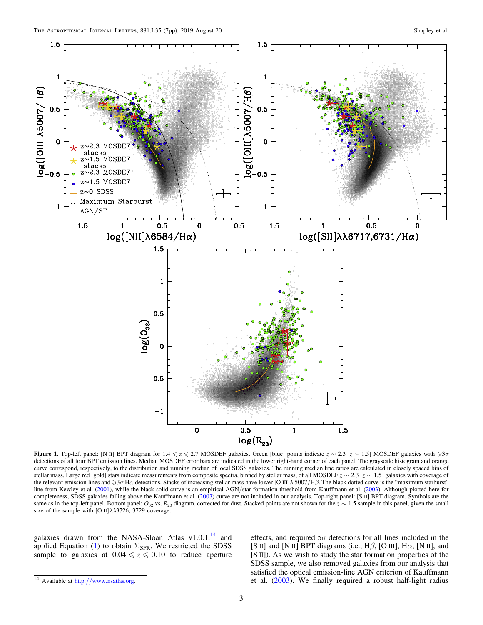<span id="page-2-0"></span>

**Figure 1.** Top-left panel: [N II] BPT diagram for  $1.4 \le z \le 2.7$  MOSDEF galaxies. Green [blue] points indicate  $z \sim 2.3$  [z ∼ 1.5] MOSDEF galaxies with  $\ge 3\sigma$ detections of all four BPT emission lines. Median MOSDEF error bars are indicated in the lower right-hand corner of each panel. The grayscale histogram and orange curve correspond, respectively, to the distribution and running median of local SDSS galaxies. The running median line ratios are calculated in closely spaced bins of stellar mass. Large red [gold] stars indicate measurements from composite spectra, binned by stellar mass, of all MOSDEF  $z \sim 2.3$  [ $z \sim 1.5$ ] galaxies with coverage of the relevant emission lines and  $\geq$ 3 $\sigma$  H $\alpha$  detections. Stacks of increasing stellar mass have lower [O III] $\lambda$  5007/H $\beta$ . The black dotted curve is the "maximum starburst" line from Kewley et al. ([2001](#page-5-0)), while the black solid curve is an empirical AGN/star formation threshold from Kauffmann et al. ([2003](#page-5-0)). Although plotted here for completeness, SDSS galaxies falling above the Kauffmann et al. ([2003](#page-5-0)) curve are not included in our analysis. Top-right panel: [S II] BPT diagram. Symbols are the same as in the top-left panel. Bottom panel:  $O_{32}$  vs.  $R_{23}$  diagram, corrected for dust. Stacked points are not shown for the  $z \sim 1.5$  sample in this panel, given the small size of the sample with [O II] $\lambda\lambda$ 3726, 3729 coverage.

galaxies drawn from the NASA-Sloan Atlas v1.0.1, $^{14}$  and applied Equation ([1](#page-1-0)) to obtain  $\Sigma_{\rm SFR}$ . We restricted the SDSS sample to galaxies at  $0.04 \le z \le 0.10$  to reduce aperture effects, and required  $5\sigma$  detections for all lines included in the [S II] and [N II] BPT diagrams (i.e.,  $H\beta$ , [O III],  $H\alpha$ , [N II], and [S II]). As we wish to study the star formation properties of the SDSS sample, we also removed galaxies from our analysis that satisfied the optical emission-line AGN criterion of Kauffmann et al. ([2003](#page-5-0)). We finally required a robust half-light radius

<sup>14</sup> Available at http://[www.nsatlas.org](http://www.nsatlas.org).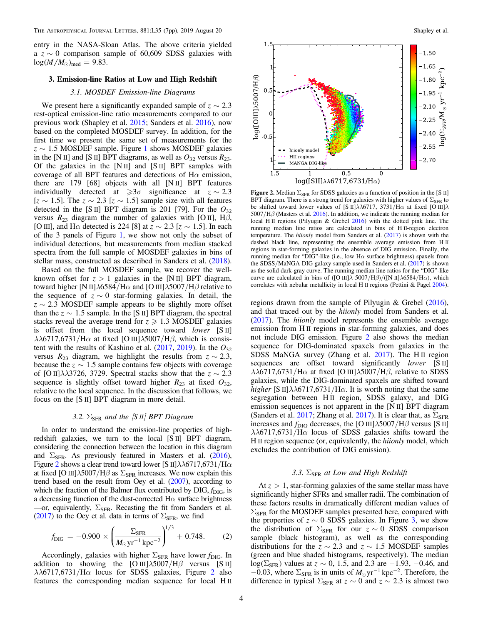<span id="page-3-0"></span>entry in the NASA-Sloan Atlas. The above criteria yielded a  $z \sim 0$  comparison sample of 60,609 SDSS galaxies with  $log(M/M_{\odot})_{\text{med}} = 9.83.$ 

### 3. Emission-line Ratios at Low and High Redshift

### 3.1. MOSDEF Emission-line Diagrams

We present here a significantly expanded sample of  $z \sim 2.3$ rest-optical emission-line ratio measurements compared to our previous work (Shapley et al. [2015;](#page-6-0) Sanders et al. [2016](#page-6-0)), now based on the completed MOSDEF survey. In addition, for the first time we present the same set of measurements for the  $z \sim 1.5$  $z \sim 1.5$  $z \sim 1.5$  MOSDEF sample. Figure 1 shows MOSDEF galaxies in the [N II] and [S II] BPT diagrams, as well as  $O_{32}$  versus  $R_{23}$ . Of the galaxies in the  $[N II]$  and  $[S II]$  BPT samples with coverage of all BPT features and detections of  $H\alpha$  emission, there are 179 [68] objects with all [N II] BPT features individually detected at  $\geq 3\sigma$  significance at  $z \sim 2.3$ [ $z \sim 1.5$ ]. The  $z \sim 2.3$  [ $z \sim 1.5$ ] sample size with all features detected in the [S II] BPT diagram is 201 [79]. For the  $O_{32}$ versus  $R_{23}$  diagram the number of galaxies with [O II], H $\beta$ , [O III], and H $\alpha$  detected is 224 [8] at  $z \sim 2.3$  [ $z \sim 1.5$ ]. In each of the 3 panels of Figure [1](#page-2-0), we show not only the subset of individual detections, but measurements from median stacked spectra from the full sample of MOSDEF galaxies in bins of stellar mass, constructed as described in Sanders et al. ([2018](#page-6-0)).

Based on the full MOSDEF sample, we recover the wellknown offset for  $z > 1$  galaxies in the [N II] BPT diagram, toward higher [N II] $\lambda$ 6584/Hα and [O III] $\lambda$ 5007/H $\beta$  relative to the sequence of  $z \sim 0$  star-forming galaxies. In detail, the  $z \sim 2.3$  MOSDEF sample appears to be slightly more offset than the  $z \sim 1.5$  sample. In the [S II] BPT diagram, the spectral stacks reveal the average trend for  $z \ge 1.3$  MOSDEF galaxies is offset from the local sequence toward lower [S II]  $\lambda\lambda$ 6717,6731/H $\alpha$  at fixed [O III] $\lambda$ 5007/H $\beta$ , which is consistent with the results of Kashino et al.  $(2017, 2019)$  $(2017, 2019)$  $(2017, 2019)$  $(2017, 2019)$  $(2017, 2019)$ . In the  $O_{32}$ versus  $R_{23}$  diagram, we highlight the results from  $z \sim 2.3$ , because the  $z \sim 1.5$  sample contains few objects with coverage of [O II] $\lambda\lambda$ 3726, 3729. Spectral stacks show that the  $z \sim 2.3$ sequence is slightly offset toward higher  $R_{23}$  at fixed  $O_{32}$ , relative to the local sequence. In the discussion that follows, we focus on the [S II] BPT diagram in more detail.

## 3.2.  $\Sigma_{\rm SFR}$  and the [S II] BPT Diagram

In order to understand the emission-line properties of highredshift galaxies, we turn to the local [S II] BPT diagram, considering the connection between the location in this diagram and  $\Sigma_{\rm SFR}$ . As previously featured in Masters et al. ([2016](#page-5-0)), Figure 2 shows a clear trend toward lower [S II] $\lambda\lambda$ 6717,6731/H $\alpha$ at fixed [O III] $\lambda$ 5007/H $\beta$  as  $\Sigma_{\rm SFR}$  increases. We now explain this trend based on the result from Oey et al. ([2007](#page-5-0)), according to which the fraction of the Balmer flux contributed by  $\text{DIG}, f_{\text{DIG}}$ , is a decreasing function of the dust-corrected  $H\alpha$  surface brightness —or, equivalently,  $\Sigma_{\text{SFR}}$ . Recasting the fit from Sanders et al. ([2017](#page-6-0)) to the Oey et al. data in terms of  $\Sigma_{\rm SFR}$ , we find

$$
f_{\text{DIG}} = -0.900 \times \left(\frac{\Sigma_{\text{SFR}}}{M_{\odot} \text{yr}^{-1} \text{ kpc}^{-2}}\right)^{1/3} + 0.748. \tag{2}
$$

Accordingly, galaxies with higher  $\Sigma_{\rm SFR}$  have lower  $f_{\rm DIG}$ . In addition to showing the  $[O III]\lambda 5007/H\beta$  versus  $[S II]$  $\lambda\lambda$ 6717,6731/H $\alpha$  locus for SDSS galaxies, Figure 2 also features the corresponding median sequence for local H II



Figure 2. Median  $\Sigma_{\rm SFR}$  for SDSS galaxies as a function of position in the [S II] BPT diagram. There is a strong trend for galaxies with higher values of  $\Sigma_{\rm SFR}$  to be shifted toward lower values of [S II] $\lambda$  $\lambda$ 6717, 3731/H $\alpha$  at fixed [O III] $\lambda$  $5007/H\beta$  (Masters et al. [2016](#page-5-0)). In addition, we indicate the running median for local H II regions (Pilyugin & Grebel [2016](#page-5-0)) with the dotted pink line. The running median line ratios are calculated in bins of H II-region electron temperature. The hiionly model from Sanders et al. ([2017](#page-6-0)) is shown with the dashed black line, representing the ensemble average emission from H II regions in star-forming galaxies in the absence of DIG emission. Finally, the running median for "DIG"-like (i.e., low H $\alpha$  surface brightness) spaxels from the SDSS/MaNGA DIG galaxy sample used in Sanders et al. ([2017](#page-6-0)) is shown as the solid dark-gray curve. The running median line ratios for the "DIG"-like curve are calculated in bins of ([O III] $\lambda$  5007/H $\beta$ )/([N II] $\lambda$ 6584/H $\alpha$ ), which correlates with nebular metallicity in local H II regions (Pettini & Pagel [2004](#page-5-0)).

regions drawn from the sample of Pilyugin & Grebel ([2016](#page-5-0)), and that traced out by the hiionly model from Sanders et al. ([2017](#page-6-0)). The hiionly model represents the ensemble average emission from H II regions in star-forming galaxies, and does not include DIG emission. Figure 2 also shows the median sequence for DIG-dominated spaxels from galaxies in the SDSS MaNGA survey (Zhang et al. [2017](#page-6-0)). The H II region sequences are offset toward significantly *lower* [S II]  $\lambda\lambda$ 6717,6731/H $\alpha$  at fixed [O III] $\lambda$ 5007/H $\beta$ , relative to SDSS galaxies, while the DIG-dominated spaxels are shifted toward higher [S II] $\lambda \lambda$ 6717,6731/H $\alpha$ . It is worth noting that the same segregation between H<sub>II</sub> region, SDSS galaxy, and DIG emission sequences is not apparent in the [N II] BPT diagram (Sanders et al. [2017](#page-6-0); Zhang et al. 2017). It is clear that, as  $\Sigma_{\rm SFR}$ increases and  $f_{\text{DIG}}$  decreases, the [O III] $\lambda$ 5007/H $\beta$  versus [S II]  $\lambda\lambda$ 6717,6731/H $\alpha$  locus of SDSS galaxies shifts toward the H II region sequence (or, equivalently, the hiionly model, which excludes the contribution of DIG emission).

## 3.3.  $\Sigma_{\rm SFR}$  at Low and High Redshift

At  $z > 1$ , star-forming galaxies of the same stellar mass have significantly higher SFRs and smaller radii. The combination of these factors results in dramatically different median values of  $\Sigma_{\rm SFR}$  for the MOSDEF samples presented here, compared with the properties of  $z \sim 0$  SDSS galaxies. In Figure [3,](#page-4-0) we show the distribution of  $\Sigma_{\rm SFR}$  for our  $z \sim 0$  SDSS comparison sample (black histogram), as well as the corresponding distributions for the  $z \sim 2.3$  and  $z \sim 1.5$  MOSDEF samples (green and blue shaded histograms, respectively). The median log( $\Sigma_{\text{SFR}}$ ) values at  $z \sim 0$ , 1.5, and 2.3 are −1.93, −0.46, and −0.03, where  $\Sigma_{\rm SFR}$  is in units of  $M_{\odot}$  yr<sup>-1</sup> kpc<sup>-2</sup>. Therefore, the difference in typical  $\Sigma_{\rm SFR}$  at  $z \sim 0$  and  $z \sim 2.3$  is almost two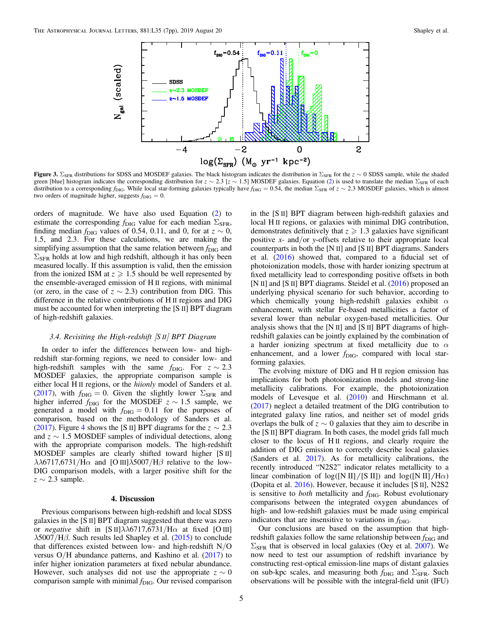<span id="page-4-0"></span>

Figure 3.  $\Sigma_{SFR}$  distributions for SDSS and MOSDEF galaxies. The black histogram indicates the distribution in  $\Sigma_{SFR}$  for the  $z \sim 0$  SDSS sample, while the shaded green [blue] histogram indicates the corresponding distribution for  $z \sim 2.3$  $z \sim 2.3$  $z \sim 2.3$  [ $z \sim 1.5$ ] MOSDEF galaxies. Equation (2) is used to translate the median  $\Sigma_{\rm SFR}$  of each distribution to a corresponding f<sub>DIG</sub>. While local star-forming galaxies typically have  $f_{\text{DIG}} = 0.54$ , the median  $\Sigma_{\text{SFR}}$  of  $z \sim 2.3$  MOSDEF galaxies, which is almost two orders of magnitude higher, suggests  $f_{\text{DIG}} = 0$ .

orders of magnitude. We have also used Equation ([2](#page-3-0)) to estimate the corresponding  $f_{\text{DIG}}$  value for each median  $\Sigma_{\text{SFR}}$ , finding median  $f_{\text{DIG}}$  values of 0.54, 0.11, and 0, for at  $z \sim 0$ , 1.5, and 2.3. For these calculations, we are making the simplifying assumption that the same relation between  $f_{\text{DIG}}$  and  $\Sigma_{\rm SFR}$  holds at low and high redshift, although it has only been measured locally. If this assumption is valid, then the emission from the ionized ISM at  $z \ge 1.5$  should be well represented by the ensemble-averaged emission of H II regions, with minimal (or zero, in the case of  $z \sim 2.3$ ) contribution from DIG. This difference in the relative contributions of H II regions and DIG must be accounted for when interpreting the [S II] BPT diagram of high-redshift galaxies.

#### 3.4. Revisiting the High-redshift  $[S II]$  BPT Diagram

In order to infer the differences between low- and highredshift star-forming regions, we need to consider low- and high-redshift samples with the same  $f_{\text{DIG}}$ . For  $z \sim 2.3$ MOSDEF galaxies, the appropriate comparison sample is either local H II regions, or the hiionly model of Sanders et al. ([2017](#page-6-0)), with  $f_{\text{DIG}} = 0$ . Given the slightly lower  $\Sigma_{\text{SFR}}$  and higher inferred  $f_{\text{DIG}}$  for the MOSDEF  $z \sim 1.5$  sample, we generated a model with  $f_{\text{DIG}} = 0.11$  for the purposes of comparison, based on the methodology of Sanders et al. ([2017](#page-6-0)). Figure [4](#page-5-0) shows the [S II] BPT diagrams for the  $z \sim 2.3$ and  $z \sim 1.5$  MOSDEF samples of individual detections, along with the appropriate comparison models. The high-redshift MOSDEF samples are clearly shifted toward higher [S II]  $\lambda\lambda$ 6717,6731/H $\alpha$  and [O III] $\lambda$ 5007/H $\beta$  relative to the low-DIG comparison models, with a larger positive shift for the  $z \sim 2.3$  sample.

### 4. Discussion

Previous comparisons between high-redshift and local SDSS galaxies in the [S II] BPT diagram suggested that there was zero or negative shift in [S II] $\lambda\lambda$ 6717,6731/H $\alpha$  at fixed [O III]  $\lambda$ 5007/H $\beta$ . Such results led Shapley et al. ([2015](#page-6-0)) to conclude that differences existed between low- and high-redshift N/O versus  $O/H$  abundance patterns, and Kashino et al.  $(2017)$  $(2017)$  $(2017)$  to infer higher ionization parameters at fixed nebular abundance. However, such analyses did not use the appropriate  $z \sim 0$ comparison sample with minimal  $f_{\text{DIG}}$ . Our revised comparison in the [S II] BPT diagram between high-redshift galaxies and local H II regions, or galaxies with minimal DIG contribution, demonstrates definitively that  $z \geq 1.3$  galaxies have significant positive x- and/or y-offsets relative to their appropriate local counterparts in both the [N II] and [S II] BPT diagrams. Sanders et al. ([2016](#page-6-0)) showed that, compared to a fiducial set of photoionization models, those with harder ionizing spectrum at fixed metallicity lead to corresponding positive offsets in both [N II] and [S II] BPT diagrams. Steidel et al. ([2016](#page-6-0)) proposed an underlying physical scenario for such behavior, according to which chemically young high-redshift galaxies exhibit  $\alpha$ enhancement, with stellar Fe-based metallicities a factor of several lower than nebular oxygen-based metallicities. Our analysis shows that the [N II] and [S II] BPT diagrams of highredshift galaxies can be jointly explained by the combination of a harder ionizing spectrum at fixed metallicity due to  $\alpha$ enhancement, and a lower  $f_{\text{DIG}}$ , compared with local starforming galaxies.

The evolving mixture of DIG and H II region emission has implications for both photoionization models and strong-line metallicity calibrations. For example, the photoionization models of Levesque et al. ([2010](#page-5-0)) and Hirschmann et al. ([2017](#page-5-0)) neglect a detailed treatment of the DIG contribution to integrated galaxy line ratios, and neither set of model grids overlaps the bulk of  $z \sim 0$  galaxies that they aim to describe in the [S II] BPT diagram. In both cases, the model grids fall much closer to the locus of H II regions, and clearly require the addition of DIG emission to correctly describe local galaxies (Sanders et al. [2017](#page-6-0)). As for metallicity calibrations, the recently introduced "N2S2" indicator relates metallicity to a linear combination of  $\log([N II]/[S II])$  and  $\log([N II]/H\alpha)$ (Dopita et al. [2016](#page-5-0)). However, because it includes [S II], N2S2 is sensitive to *both* metallicity and  $f_{\text{DIG}}$ . Robust evolutionary comparisons between the integrated oxygen abundances of high- and low-redshift galaxies must be made using empirical indicators that are insensitive to variations in  $f_{\text{DIG}}$ .

Our conclusions are based on the assumption that highredshift galaxies follow the same relationship between  $f_{\text{DIG}}$  and  $\Sigma<sub>SFR</sub>$  that is observed in local galaxies (Oey et al. [2007](#page-5-0)). We now need to test our assumption of redshift invariance by constructing rest-optical emission-line maps of distant galaxies on sub-kpc scales, and measuring both  $f_{\text{DIG}}$  and  $\Sigma_{\text{SFR}}$ . Such observations will be possible with the integral-field unit (IFU)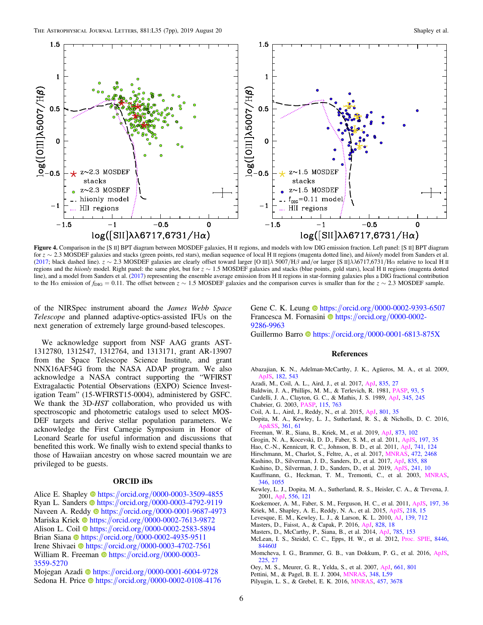<span id="page-5-0"></span>

Figure 4. Comparison in the [S II] BPT diagram between MOSDEF galaxies, H II regions, and models with low DIG emission fraction. Left panel: [S II] BPT diagram for z ∼ 2.3 MOSDEF galaxies and stacks (green points, red stars), median sequence of local H II regions (magenta dotted line), and hiionly model from Sanders et al. ([2017](#page-6-0); black dashed line).  $z \sim 2.3$  MOSDEF galaxies are clearly offset toward larger [O III] $\lambda$  5007/H $\beta$  and/or larger [S II] $\lambda\lambda$ 6717,6731/H $\alpha$  relative to local H II regions and the hiionly model. Right panel: the same plot, but for  $z \sim 1.5$  MOSDEF galaxies and stacks (blue points, gold stars), local H II regions (magenta dotted line), and a model from Sanders et al. ([2017](#page-6-0)) representing the ensemble average emission from H II regions in star-forming galaxies plus a DIG fractional contribution to the H $\alpha$  emission of  $f_{\text{DIG}} = 0.11$ . The offset between  $z \sim 1.5$  MOSDEF galaxies and the comparison curves is smaller than for the  $z \sim 2.3$  MOSDEF sample.

of the NIRSpec instrument aboard the James Webb Space Telescope and planned adaptive-optics-assisted IFUs on the next generation of extremely large ground-based telescopes.

We acknowledge support from NSF AAG grants AST-1312780, 1312547, 1312764, and 1313171, grant AR-13907 from the Space Telescope Science Institute, and grant NNX16AF54G from the NASA ADAP program. We also acknowledge a NASA contract supporting the "WFIRST Extragalactic Potential Observations (EXPO) Science Investigation Team" (15-WFIRST15-0004), administered by GSFC. We thank the 3D-HST collaboration, who provided us with spectroscopic and photometric catalogs used to select MOS-DEF targets and derive stellar population parameters. We acknowledge the First Carnegie Symposium in Honor of Leonard Searle for useful information and discussions that benefited this work. We finally wish to extend special thanks to those of Hawaiian ancestry on whose sacred mountain we are privileged to be guests.

### ORCID iDs

Alice E. Shaple[y](https://orcid.org/0000-0003-3509-4855)  $\bullet$  [https:](https://orcid.org/0000-0003-3509-4855)//orcid.org/[0000-0003-3509-4855](https://orcid.org/0000-0003-3509-4855) Ryan L. Sander[s](https://orcid.org/0000-0003-4792-9119) the [https:](https://orcid.org/0000-0003-4792-9119)//orcid.org/[0000-0003-4792-9119](https://orcid.org/0000-0003-4792-9119) Naveen A. Redd[y](https://orcid.org/0000-0001-9687-4973) <sup>th</sup> [https:](https://orcid.org/0000-0001-9687-4973)//orcid.org/[0000-0001-9687-4973](https://orcid.org/0000-0001-9687-4973) Mariska Kriek @ [https:](https://orcid.org/0000-0002-7613-9872)//orcid.org/[0000-0002-7613-9872](https://orcid.org/0000-0002-7613-9872) A[l](https://orcid.org/0000-0002-2583-5894)ison L. Coil @ [https:](https://orcid.org/0000-0002-2583-5894)//orcid.org/[0000-0002-2583-5894](https://orcid.org/0000-0002-2583-5894) Bri[a](https://orcid.org/0000-0002-4935-9511)n Siana [https:](https://orcid.org/0000-0002-4935-9511)//orcid.org/[0000-0002-4935-9511](https://orcid.org/0000-0002-4935-9511) Irene Shivaei <sup>th</sup> [https:](https://orcid.org/0000-0003-4702-7561)//orcid.org/[0000-0003-4702-7561](https://orcid.org/0000-0003-4702-7561) William R. Freema[n](https://orcid.org/0000-0003-3559-5270) **[https:](https://orcid.org/0000-0003-3559-5270)//orcid.org/[0000-0003-](https://orcid.org/0000-0003-3559-5270)** [3559-5270](https://orcid.org/0000-0003-3559-5270)

Mojegan Azadi @ [https:](https://orcid.org/0000-0001-6004-9728)//orcid.org/[0000-0001-6004-9728](https://orcid.org/0000-0001-6004-9728) Sedona H. Price C[https:](https://orcid.org/0000-0002-0108-4176)//orcid.org/[0000-0002-0108-4176](https://orcid.org/0000-0002-0108-4176) Gene C. K. Leung  $\bullet$  [https:](https://orcid.org/0000-0002-9393-6507)//orcid.org/[0000-0002-9393-6507](https://orcid.org/0000-0002-9393-6507) Francesca M. Fornas[i](https://orcid.org/0000-0002-9286-9963)ni **I** [https:](https://orcid.org/0000-0002-9286-9963)//orcid.org/[0000-0002-](https://orcid.org/0000-0002-9286-9963) [9286-9963](https://orcid.org/0000-0002-9286-9963)

### Guillerm[o](https://orcid.org/0000-0001-6813-875X) Barro t[https:](https://orcid.org/0000-0001-6813-875X)//orcid.org/[0000-0001-6813-875X](https://orcid.org/0000-0001-6813-875X)

#### References

- Abazajian, K. N., Adelman-McCarthy, J. K., Agüeros, M. A., et al. 2009, [ApJS](https://doi.org/10.1088/0067-0049/182/2/543), [182, 543](https://ui.adsabs.harvard.edu/abs/2009ApJS..182..543A/abstract)
- Azadi, M., Coil, A. L., Aird, J., et al. 2017, [ApJ,](https://doi.org/10.3847/1538-4357/835/1/27) [835, 27](https://ui.adsabs.harvard.edu/abs/2017ApJ...835...27A/abstract)
- Baldwin, J. A., Phillips, M. M., & Terlevich, R. 1981, [PASP,](https://doi.org/10.1086/130766) [93, 5](https://ui.adsabs.harvard.edu/abs/1981PASP...93....5B/abstract)
- Cardelli, J. A., Clayton, G. C., & Mathis, J. S. 1989, [ApJ,](https://doi.org/10.1086/167900) [345, 245](https://ui.adsabs.harvard.edu/abs/1989ApJ...345..245C/abstract)
- Chabrier, G. 2003, [PASP](https://doi.org/10.1086/376392), [115, 763](https://ui.adsabs.harvard.edu/abs/2003PASP..115..763C/abstract)
- Coil, A. L., Aird, J., Reddy, N., et al. 2015, [ApJ,](https://doi.org/10.1088/0004-637X/801/1/35) [801, 35](https://ui.adsabs.harvard.edu/abs/2015ApJ...801...35C/abstract)
- Dopita, M. A., Kewley, L. J., Sutherland, R. S., & Nicholls, D. C. 2016, [Ap&SS,](https://doi.org/10.1007/s10509-016-2657-8) [361, 61](https://ui.adsabs.harvard.edu/abs/2016Ap&SS.361...61D/abstract)
- Freeman, W. R., Siana, B., Kriek, M., et al. 2019, [ApJ,](https://doi.org/10.3847/1538-4357/ab0655) [873, 102](https://ui.adsabs.harvard.edu/abs/2019ApJ...873..102F/abstract)
- Grogin, N. A., Kocevski, D. D., Faber, S. M., et al. 2011, [ApJS,](https://doi.org/10.1088/0067-0049/197/2/35) [197, 35](https://ui.adsabs.harvard.edu/abs/2011ApJS..197...35G/abstract)
- Hao, C.-N., Kennicutt, R. C., Johnson, B. D., et al. 2011, [ApJ,](https://doi.org/10.1088/0004-637X/741/2/124) [741, 124](https://ui.adsabs.harvard.edu/abs/2011ApJ...741..124H/abstract)
- Hirschmann, M., Charlot, S., Feltre, A., et al. 2017, [MNRAS,](https://doi.org/10.1093/mnras/stx2180) [472, 2468](https://ui.adsabs.harvard.edu/abs/2017MNRAS.472.2468H/abstract)
- Kashino, D., Silverman, J. D., Sanders, D., et al. 2017, [ApJ](https://doi.org/10.3847/1538-4357/835/1/88), [835, 88](https://ui.adsabs.harvard.edu/abs/2017ApJ...835...88K/abstract)
- Kashino, D., Silverman, J. D., Sanders, D., et al. 2019, [ApJS,](https://doi.org/10.3847/1538-4365/ab06c4) [241, 10](https://ui.adsabs.harvard.edu/abs/2019ApJS..241...10K/abstract)
- Kauffmann, G., Heckman, T. M., Tremonti, C., et al. 2003, [MNRAS](https://doi.org/10.1111/j.1365-2966.2003.07154.x)[,](https://ui.adsabs.harvard.edu/abs/2003MNRAS.346.1055K/abstract) [346, 1055](https://ui.adsabs.harvard.edu/abs/2003MNRAS.346.1055K/abstract)
- Kewley, L. J., Dopita, M. A., Sutherland, R. S., Heisler, C. A., & Trevena, J. 2001, [ApJ](https://doi.org/10.1086/321545), [556, 121](https://ui.adsabs.harvard.edu/abs/2001ApJ...556..121K/abstract)
- Koekemoer, A. M., Faber, S. M., Ferguson, H. C., et al. 2011, [ApJS](https://doi.org/10.1088/0067-0049/197/2/36), [197, 36](https://ui.adsabs.harvard.edu/abs/2011ApJS..197...36K/abstract)
- Kriek, M., Shapley, A. E., Reddy, N. A., et al. 2015, [ApJS,](https://doi.org/10.1088/0067-0049/218/2/15) [218, 15](https://ui.adsabs.harvard.edu/abs/2015ApJS..218...15K/abstract)
- Levesque, E. M., Kewley, L. J., & Larson, K. L. 2010, [AJ](https://doi.org/10.1088/0004-6256/139/2/712), [139, 712](https://ui.adsabs.harvard.edu/abs/2010AJ....139..712L/abstract)
- Masters, D., Faisst, A., & Capak, P. 2016, [ApJ](https://doi.org/10.3847/0004-637X/828/1/18), [828, 18](https://ui.adsabs.harvard.edu/abs/2016ApJ...828...18M/abstract)
- Masters, D., McCarthy, P., Siana, B., et al. 2014, [ApJ,](https://doi.org/10.1088/0004-637X/785/2/153) [785, 153](https://ui.adsabs.harvard.edu/abs/2014ApJ...785..153M/abstract)
- McLean, I. S., Steidel, C. C., Epps, H. W., et al. 2012, [Proc. SPIE,](https://doi.org/10.1117/12.924794) [8446,](https://ui.adsabs.harvard.edu/abs/2012SPIE.8446E..0JM/abstract) [84460J](https://ui.adsabs.harvard.edu/abs/2012SPIE.8446E..0JM/abstract)
- Momcheva, I. G., Brammer, G. B., van Dokkum, P. G., et al. 2016, [ApJS](https://doi.org/10.3847/0067-0049/225/2/27)[,](https://ui.adsabs.harvard.edu/abs/2016ApJS..225...27M/abstract) [225, 27](https://ui.adsabs.harvard.edu/abs/2016ApJS..225...27M/abstract)
- Oey, M. S., Meurer, G. R., Yelda, S., et al. 2007, [ApJ](https://doi.org/10.1086/517867), [661, 801](https://ui.adsabs.harvard.edu/abs/2007ApJ...661..801O/abstract)
- Pettini, M., & Pagel, B. E. J. 2004, [MNRAS,](https://doi.org/10.1111/j.1365-2966.2004.07591.x) [348, L59](https://ui.adsabs.harvard.edu/abs/2004MNRAS.348L..59P/abstract)
- Pilyugin, L. S., & Grebel, E. K. 2016, [MNRAS](https://doi.org/10.1093/mnras/stw238), [457, 3678](https://ui.adsabs.harvard.edu/abs/2016MNRAS.457.3678P/abstract)